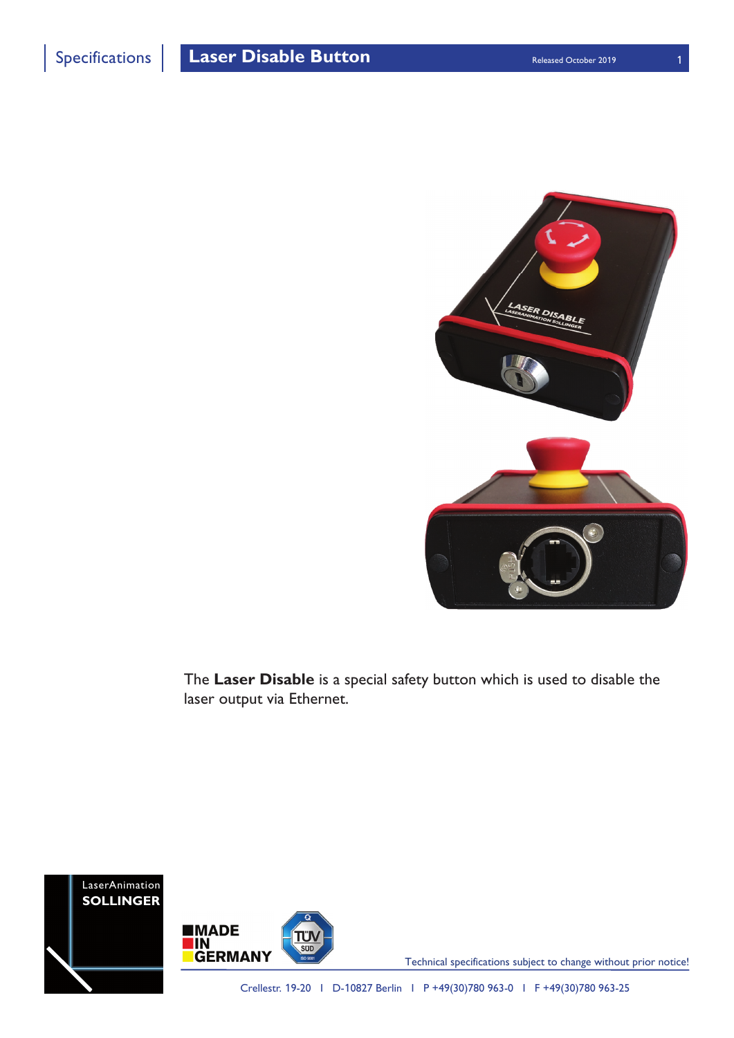

Specifications **Laser Disable Button Released October 2019** 



The **Laser Disable** is a special safety button which is used to disable the laser output via Ethernet.





Technical specifications subject to change without prior notice!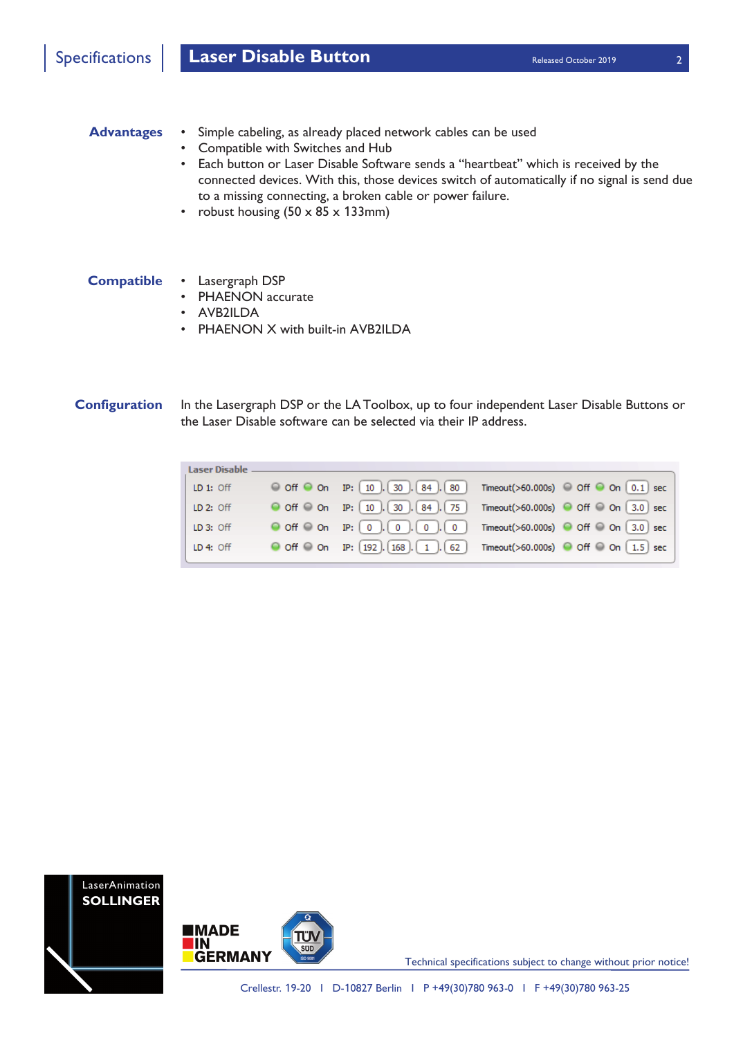

## **Advantages**

- Simple cabeling, as already placed network cables can be used
	- Compatible with Switches and Hub
	- Each button or Laser Disable Software sends a "heartbeat" which is received by the connected devices. With this, those devices switch of automatically if no signal is send due to a missing connecting, a broken cable or power failure.
	- robust housing  $(50 \times 85 \times 133)$ mm)

## • Lasergraph DSP **Compatible**

- PHAENON accurate
- AVB2ILDA
- PHAENON X with built-in AVB2ILDA

**Configuration** In the Lasergraph DSP or the LA Toolbox, up to four independent Laser Disable Buttons or the Laser Disable software can be selected via their IP address.







Technical specifications subject to change without prior notice!